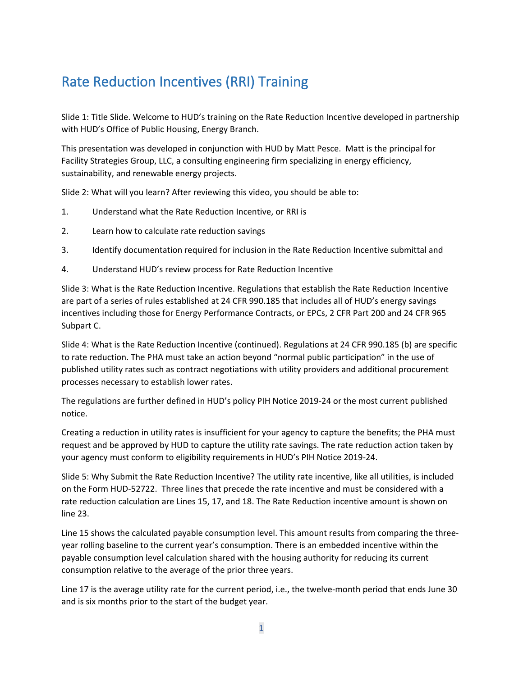## Rate Reduction Incentives (RRI) Training

Slide 1: Title Slide. Welcome to HUD's training on the Rate Reduction Incentive developed in partnership with HUD's Office of Public Housing, Energy Branch.

This presentation was developed in conjunction with HUD by Matt Pesce. Matt is the principal for Facility Strategies Group, LLC, a consulting engineering firm specializing in energy efficiency, sustainability, and renewable energy projects.

Slide 2: What will you learn? After reviewing this video, you should be able to:

- 1. Understand what the Rate Reduction Incentive, or RRI is
- 2. Learn how to calculate rate reduction savings
- 3. Identify documentation required for inclusion in the Rate Reduction Incentive submittal and
- 4. Understand HUD's review process for Rate Reduction Incentive

Slide 3: What is the Rate Reduction Incentive. Regulations that establish the Rate Reduction Incentive are part of a series of rules established at 24 CFR 990.185 that includes all of HUD's energy savings incentives including those for Energy Performance Contracts, or EPCs, 2 CFR Part 200 and 24 CFR 965 Subpart C.

Slide 4: What is the Rate Reduction Incentive (continued). Regulations at 24 CFR 990.185 (b) are specific to rate reduction. The PHA must take an action beyond "normal public participation" in the use of published utility rates such as contract negotiations with utility providers and additional procurement processes necessary to establish lower rates.

The regulations are further defined in HUD's policy PIH Notice 2019-24 or the most current published notice.

Creating a reduction in utility rates is insufficient for your agency to capture the benefits; the PHA must request and be approved by HUD to capture the utility rate savings. The rate reduction action taken by your agency must conform to eligibility requirements in HUD's PIH Notice 2019-24.

Slide 5: Why Submit the Rate Reduction Incentive? The utility rate incentive, like all utilities, is included on the Form HUD-52722. Three lines that precede the rate incentive and must be considered with a rate reduction calculation are Lines 15, 17, and 18. The Rate Reduction incentive amount is shown on line 23.

Line 15 shows the calculated payable consumption level. This amount results from comparing the threeyear rolling baseline to the current year's consumption. There is an embedded incentive within the payable consumption level calculation shared with the housing authority for reducing its current consumption relative to the average of the prior three years.

Line 17 is the average utility rate for the current period, i.e., the twelve-month period that ends June 30 and is six months prior to the start of the budget year.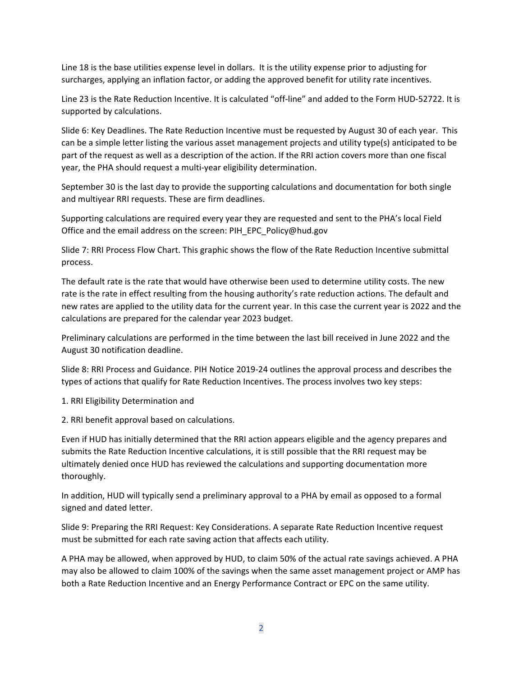Line 18 is the base utilities expense level in dollars. It is the utility expense prior to adjusting for surcharges, applying an inflation factor, or adding the approved benefit for utility rate incentives.

Line 23 is the Rate Reduction Incentive. It is calculated "off-line" and added to the Form HUD-52722. It is supported by calculations.

Slide 6: Key Deadlines. The Rate Reduction Incentive must be requested by August 30 of each year. This can be a simple letter listing the various asset management projects and utility type(s) anticipated to be part of the request as well as a description of the action. If the RRI action covers more than one fiscal year, the PHA should request a multi-year eligibility determination.

September 30 is the last day to provide the supporting calculations and documentation for both single and multiyear RRI requests. These are firm deadlines.

Supporting calculations are required every year they are requested and sent to the PHA's local Field Office and the email address on the screen: [PIH\\_EPC\\_Policy@hud.gov](mailto:PIH_EPC_Policy@HUD.gov)

Slide 7: RRI Process Flow Chart. This graphic shows the flow of the Rate Reduction Incentive submittal process.

The default rate is the rate that would have otherwise been used to determine utility costs. The new rate is the rate in effect resulting from the housing authority's rate reduction actions. The default and new rates are applied to the utility data for the current year. In this case the current year is 2022 and the calculations are prepared for the calendar year 2023 budget.

Preliminary calculations are performed in the time between the last bill received in June 2022 and the August 30 notification deadline.

Slide 8: RRI Process and Guidance. PIH Notice 2019-24 outlines the approval process and describes the types of actions that qualify for Rate Reduction Incentives. The process involves two key steps:

1. RRI Eligibility Determination and

2. RRI benefit approval based on calculations.

Even if HUD has initially determined that the RRI action appears eligible and the agency prepares and submits the Rate Reduction Incentive calculations, it is still possible that the RRI request may be ultimately denied once HUD has reviewed the calculations and supporting documentation more thoroughly.

In addition, HUD will typically send a preliminary approval to a PHA by email as opposed to a formal signed and dated letter.

Slide 9: Preparing the RRI Request: Key Considerations. A separate Rate Reduction Incentive request must be submitted for each rate saving action that affects each utility.

A PHA may be allowed, when approved by HUD, to claim 50% of the actual rate savings achieved. A PHA may also be allowed to claim 100% of the savings when the same asset management project or AMP has both a Rate Reduction Incentive and an Energy Performance Contract or EPC on the same utility.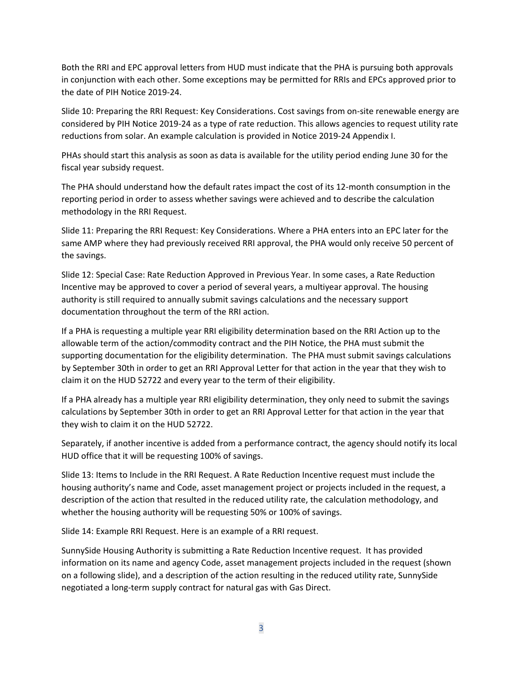Both the RRI and EPC approval letters from HUD must indicate that the PHA is pursuing both approvals in conjunction with each other. Some exceptions may be permitted for RRIs and EPCs approved prior to the date of PIH Notice 2019-24.

Slide 10: Preparing the RRI Request: Key Considerations. Cost savings from on-site renewable energy are considered by PIH Notice 2019-24 as a type of rate reduction. This allows agencies to request utility rate reductions from solar. An example calculation is provided in Notice 2019-24 Appendix I.

PHAs should start this analysis as soon as data is available for the utility period ending June 30 for the fiscal year subsidy request.

The PHA should understand how the default rates impact the cost of its 12-month consumption in the reporting period in order to assess whether savings were achieved and to describe the calculation methodology in the RRI Request.

Slide 11: Preparing the RRI Request: Key Considerations. Where a PHA enters into an EPC later for the same AMP where they had previously received RRI approval, the PHA would only receive 50 percent of the savings.

Slide 12: Special Case: Rate Reduction Approved in Previous Year. In some cases, a Rate Reduction Incentive may be approved to cover a period of several years, a multiyear approval. The housing authority is still required to annually submit savings calculations and the necessary support documentation throughout the term of the RRI action.

If a PHA is requesting a multiple year RRI eligibility determination based on the RRI Action up to the allowable term of the action/commodity contract and the PIH Notice, the PHA must submit the supporting documentation for the eligibility determination. The PHA must submit savings calculations by September 30th in order to get an RRI Approval Letter for that action in the year that they wish to claim it on the HUD 52722 and every year to the term of their eligibility.

If a PHA already has a multiple year RRI eligibility determination, they only need to submit the savings calculations by September 30th in order to get an RRI Approval Letter for that action in the year that they wish to claim it on the HUD 52722.

Separately, if another incentive is added from a performance contract, the agency should notify its local HUD office that it will be requesting 100% of savings.

Slide 13: Items to Include in the RRI Request. A Rate Reduction Incentive request must include the housing authority's name and Code, asset management project or projects included in the request, a description of the action that resulted in the reduced utility rate, the calculation methodology, and whether the housing authority will be requesting 50% or 100% of savings.

Slide 14: Example RRI Request. Here is an example of a RRI request.

SunnySide Housing Authority is submitting a Rate Reduction Incentive request. It has provided information on its name and agency Code, asset management projects included in the request (shown on a following slide), and a description of the action resulting in the reduced utility rate, SunnySide negotiated a long-term supply contract for natural gas with Gas Direct.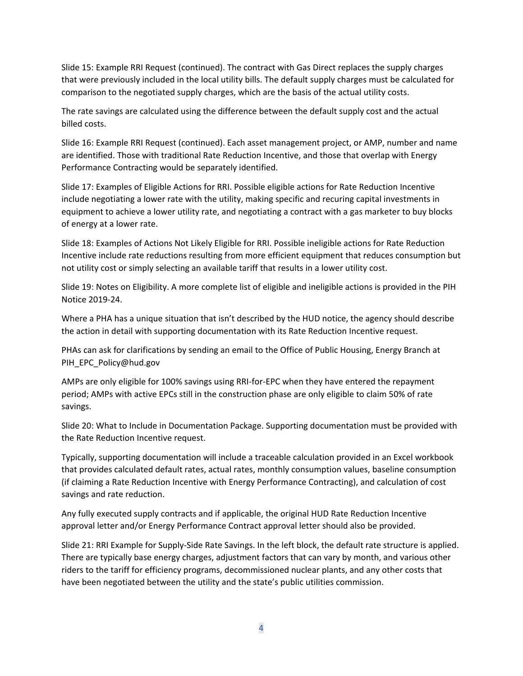Slide 15: Example RRI Request (continued). The contract with Gas Direct replaces the supply charges that were previously included in the local utility bills. The default supply charges must be calculated for comparison to the negotiated supply charges, which are the basis of the actual utility costs.

The rate savings are calculated using the difference between the default supply cost and the actual billed costs.

Slide 16: Example RRI Request (continued). Each asset management project, or AMP, number and name are identified. Those with traditional Rate Reduction Incentive, and those that overlap with Energy Performance Contracting would be separately identified.

Slide 17: Examples of Eligible Actions for RRI. Possible eligible actions for Rate Reduction Incentive include negotiating a lower rate with the utility, making specific and recuring capital investments in equipment to achieve a lower utility rate, and negotiating a contract with a gas marketer to buy blocks of energy at a lower rate.

Slide 18: Examples of Actions Not Likely Eligible for RRI. Possible ineligible actions for Rate Reduction Incentive include rate reductions resulting from more efficient equipment that reduces consumption but not utility cost or simply selecting an available tariff that results in a lower utility cost.

Slide 19: Notes on Eligibility. A more complete list of eligible and ineligible actions is provided in the PIH Notice 2019-24.

Where a PHA has a unique situation that isn't described by the HUD notice, the agency should describe the action in detail with supporting documentation with its Rate Reduction Incentive request.

PHAs can ask for clarifications by sending an email to the Office of Public Housing, Energy Branch at [PIH\\_EPC\\_Policy@hud.gov](mailto:PIH_EPC_Policy@HUD.gov)

AMPs are only eligible for 100% savings using RRI-for-EPC when they have entered the repayment period; AMPs with active EPCs still in the construction phase are only eligible to claim 50% of rate savings.

Slide 20: What to Include in Documentation Package. Supporting documentation must be provided with the Rate Reduction Incentive request.

Typically, supporting documentation will include a traceable calculation provided in an Excel workbook that provides calculated default rates, actual rates, monthly consumption values, baseline consumption (if claiming a Rate Reduction Incentive with Energy Performance Contracting), and calculation of cost savings and rate reduction.

Any fully executed supply contracts and if applicable, the original HUD Rate Reduction Incentive approval letter and/or Energy Performance Contract approval letter should also be provided.

Slide 21: RRI Example for Supply-Side Rate Savings. In the left block, the default rate structure is applied. There are typically base energy charges, adjustment factors that can vary by month, and various other riders to the tariff for efficiency programs, decommissioned nuclear plants, and any other costs that have been negotiated between the utility and the state's public utilities commission.